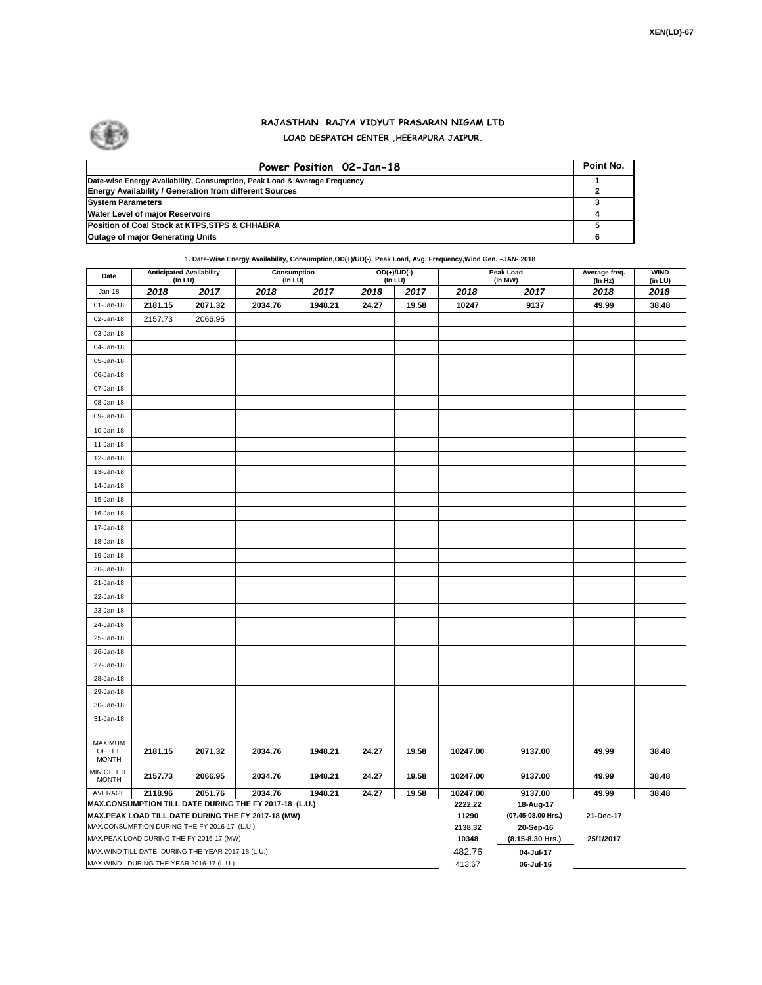

## **RAJASTHAN RAJYA VIDYUT PRASARAN NIGAM LTD LOAD DESPATCH CENTER ,HEERAPURA JAIPUR.**

| Power Position 02-Jan-18                                                  | Point No. |
|---------------------------------------------------------------------------|-----------|
| Date-wise Energy Availability, Consumption, Peak Load & Average Frequency |           |
| <b>Energy Availability / Generation from different Sources</b>            |           |
| <b>System Parameters</b>                                                  |           |
| <b>Water Level of major Reservoirs</b>                                    |           |
| Position of Coal Stock at KTPS, STPS & CHHABRA                            |           |
| Outage of major Generating Units                                          |           |

**1. Date-Wise Energy Availability, Consumption,OD(+)/UD(-), Peak Load, Avg. Frequency,Wind Gen. –JAN- 2018**

| Date                                                                                                         | (In LU) | <b>Anticipated Availability</b>                    | Consumption<br>(In LU) |         |       | $OD(+)/UD(-)$<br>(In LU) |                  | Peak Load<br>(In MW)            | Average freq.<br>(In Hz) | <b>WIND</b><br>(in LU) |
|--------------------------------------------------------------------------------------------------------------|---------|----------------------------------------------------|------------------------|---------|-------|--------------------------|------------------|---------------------------------|--------------------------|------------------------|
| Jan-18                                                                                                       | 2018    | 2017                                               | 2018                   | 2017    | 2018  | 2017                     | 2018             | 2017                            | 2018                     | 2018                   |
| 01-Jan-18                                                                                                    | 2181.15 | 2071.32                                            | 2034.76                | 1948.21 | 24.27 | 19.58                    | 10247            | 9137                            | 49.99                    | 38.48                  |
| 02-Jan-18                                                                                                    | 2157.73 | 2066.95                                            |                        |         |       |                          |                  |                                 |                          |                        |
| 03-Jan-18                                                                                                    |         |                                                    |                        |         |       |                          |                  |                                 |                          |                        |
| 04-Jan-18                                                                                                    |         |                                                    |                        |         |       |                          |                  |                                 |                          |                        |
| 05-Jan-18                                                                                                    |         |                                                    |                        |         |       |                          |                  |                                 |                          |                        |
| 06-Jan-18                                                                                                    |         |                                                    |                        |         |       |                          |                  |                                 |                          |                        |
| 07-Jan-18                                                                                                    |         |                                                    |                        |         |       |                          |                  |                                 |                          |                        |
| 08-Jan-18                                                                                                    |         |                                                    |                        |         |       |                          |                  |                                 |                          |                        |
| 09-Jan-18                                                                                                    |         |                                                    |                        |         |       |                          |                  |                                 |                          |                        |
| 10-Jan-18                                                                                                    |         |                                                    |                        |         |       |                          |                  |                                 |                          |                        |
| $11 - Jan-18$                                                                                                |         |                                                    |                        |         |       |                          |                  |                                 |                          |                        |
| 12-Jan-18                                                                                                    |         |                                                    |                        |         |       |                          |                  |                                 |                          |                        |
| 13-Jan-18                                                                                                    |         |                                                    |                        |         |       |                          |                  |                                 |                          |                        |
| 14-Jan-18                                                                                                    |         |                                                    |                        |         |       |                          |                  |                                 |                          |                        |
| 15-Jan-18                                                                                                    |         |                                                    |                        |         |       |                          |                  |                                 |                          |                        |
| 16-Jan-18                                                                                                    |         |                                                    |                        |         |       |                          |                  |                                 |                          |                        |
| 17-Jan-18                                                                                                    |         |                                                    |                        |         |       |                          |                  |                                 |                          |                        |
| 18-Jan-18                                                                                                    |         |                                                    |                        |         |       |                          |                  |                                 |                          |                        |
| 19-Jan-18                                                                                                    |         |                                                    |                        |         |       |                          |                  |                                 |                          |                        |
| 20-Jan-18                                                                                                    |         |                                                    |                        |         |       |                          |                  |                                 |                          |                        |
| 21-Jan-18                                                                                                    |         |                                                    |                        |         |       |                          |                  |                                 |                          |                        |
| 22-Jan-18                                                                                                    |         |                                                    |                        |         |       |                          |                  |                                 |                          |                        |
| 23-Jan-18                                                                                                    |         |                                                    |                        |         |       |                          |                  |                                 |                          |                        |
| 24-Jan-18                                                                                                    |         |                                                    |                        |         |       |                          |                  |                                 |                          |                        |
| 25-Jan-18                                                                                                    |         |                                                    |                        |         |       |                          |                  |                                 |                          |                        |
| 26-Jan-18                                                                                                    |         |                                                    |                        |         |       |                          |                  |                                 |                          |                        |
| 27-Jan-18                                                                                                    |         |                                                    |                        |         |       |                          |                  |                                 |                          |                        |
| 28-Jan-18                                                                                                    |         |                                                    |                        |         |       |                          |                  |                                 |                          |                        |
| 29-Jan-18                                                                                                    |         |                                                    |                        |         |       |                          |                  |                                 |                          |                        |
| 30-Jan-18                                                                                                    |         |                                                    |                        |         |       |                          |                  |                                 |                          |                        |
| 31-Jan-18                                                                                                    |         |                                                    |                        |         |       |                          |                  |                                 |                          |                        |
|                                                                                                              |         |                                                    |                        |         |       |                          |                  |                                 |                          |                        |
| <b>MAXIMUM</b><br>OF THE                                                                                     | 2181.15 | 2071.32                                            | 2034.76                | 1948.21 | 24.27 | 19.58                    | 10247.00         | 9137.00                         | 49.99                    | 38.48                  |
| <b>MONTH</b>                                                                                                 |         |                                                    |                        |         |       |                          |                  |                                 |                          |                        |
| MIN OF THE<br><b>MONTH</b>                                                                                   | 2157.73 | 2066.95                                            | 2034.76                | 1948.21 | 24.27 | 19.58                    | 10247.00         | 9137.00                         | 49.99                    | 38.48                  |
| AVERAGE                                                                                                      | 2118.96 | 2051.76                                            | 2034.76                | 1948.21 | 24.27 | 19.58                    | 10247.00         | 9137.00                         | 49.99                    | 38.48                  |
| MAX.CONSUMPTION TILL DATE DURING THE FY 2017-18 (L.U.)<br>MAX.PEAK LOAD TILL DATE DURING THE FY 2017-18 (MW) |         |                                                    |                        |         |       |                          | 2222.22<br>11290 | 18-Aug-17<br>(07.45-08.00 Hrs.) | 21-Dec-17                |                        |
|                                                                                                              |         | MAX.CONSUMPTION DURING THE FY 2016-17 (L.U.)       |                        |         |       |                          | 2138.32          | 20-Sep-16                       |                          |                        |
| MAX.PEAK LOAD DURING THE FY 2016-17 (MW)                                                                     |         |                                                    |                        |         |       |                          | 10348            | (8.15-8.30 Hrs.)                | 25/1/2017                |                        |
|                                                                                                              |         | MAX. WIND TILL DATE DURING THE YEAR 2017-18 (L.U.) |                        |         |       |                          | 482.76           | 04-Jul-17                       |                          |                        |
| MAX.WIND DURING THE YEAR 2016-17 (L.U.)                                                                      |         |                                                    |                        |         |       |                          |                  | 06-Jul-16                       |                          |                        |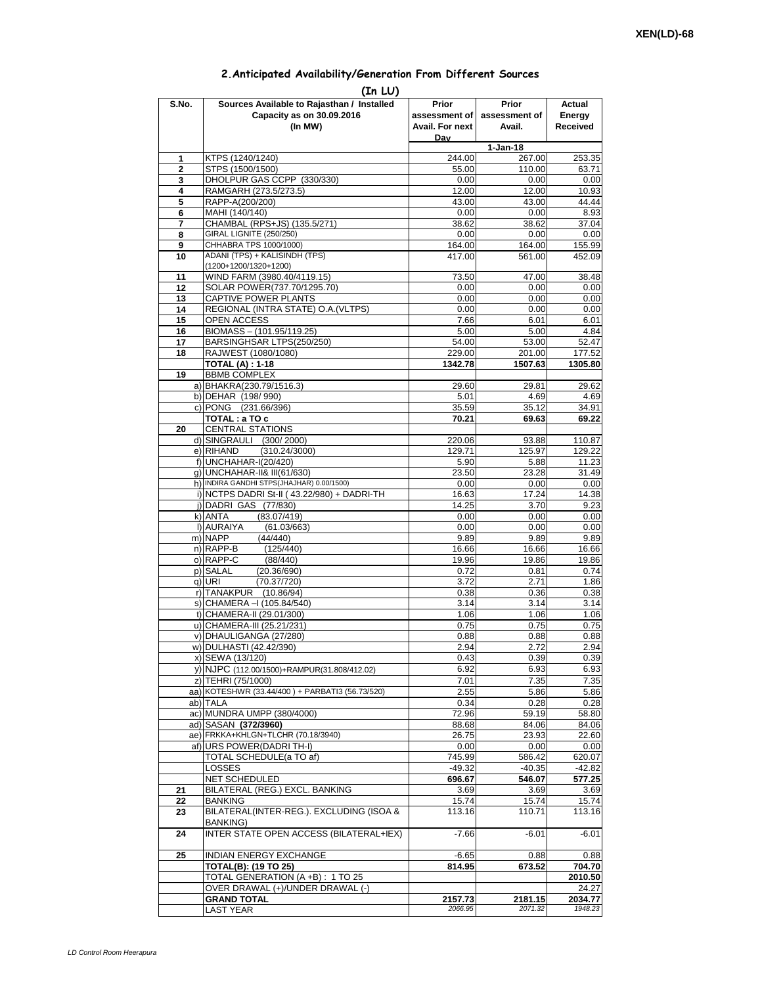## **2.Anticipated Availability/Generation From Different Sources**

| (In LU)        |                                                                   |                    |                    |                    |  |  |  |  |  |
|----------------|-------------------------------------------------------------------|--------------------|--------------------|--------------------|--|--|--|--|--|
| S.No.          | Sources Available to Rajasthan / Installed                        | Prior              | Prior              | Actual             |  |  |  |  |  |
|                | Capacity as on 30.09.2016                                         | assessment of      | assessment of      | Energy             |  |  |  |  |  |
|                | (In MW)                                                           | Avail. For next    | Avail.             | <b>Received</b>    |  |  |  |  |  |
|                |                                                                   | Dav                | $1-Jan-18$         |                    |  |  |  |  |  |
| 1              | KTPS (1240/1240)                                                  | 244.00             | 267.00             | 253.35             |  |  |  |  |  |
| $\overline{2}$ | STPS (1500/1500)                                                  | 55.00              | 110.00             | 63.71              |  |  |  |  |  |
| 3              | DHOLPUR GAS CCPP (330/330)                                        | 0.00               | 0.00               | 0.00               |  |  |  |  |  |
| 4              | RAMGARH (273.5/273.5)                                             | 12.00              | 12.00              | 10.93              |  |  |  |  |  |
| 5              | RAPP-A(200/200)                                                   | 43.00              | 43.00              | 44.44              |  |  |  |  |  |
| 6              | MAHI (140/140)                                                    | 0.00               | 0.00               | 8.93               |  |  |  |  |  |
| 7<br>8         | CHAMBAL (RPS+JS) (135.5/271)<br><b>GIRAL LIGNITE (250/250)</b>    | 38.62<br>0.00      | 38.62<br>0.00      | 37.04<br>0.00      |  |  |  |  |  |
| 9              | CHHABRA TPS 1000/1000)                                            | 164.00             | 164.00             | 155.99             |  |  |  |  |  |
| 10             | ADANI (TPS) + KALISINDH (TPS)                                     | 417.00             | 561.00             | 452.09             |  |  |  |  |  |
|                | (1200+1200/1320+1200)                                             |                    |                    |                    |  |  |  |  |  |
| 11             | WIND FARM (3980.40/4119.15)                                       | 73.50              | 47.00              | 38.48              |  |  |  |  |  |
| 12             | SOLAR POWER(737.70/1295.70)                                       | 0.00               | 0.00               | 0.00               |  |  |  |  |  |
| 13             | CAPTIVE POWER PLANTS                                              | 0.00               | 0.00               | 0.00               |  |  |  |  |  |
| 14             | REGIONAL (INTRA STATE) O.A. (VLTPS)                               | 0.00               | 0.00               | 0.00               |  |  |  |  |  |
| 15<br>16       | OPEN ACCESS<br>BIOMASS - (101.95/119.25)                          | 7.66<br>5.00       | 6.01<br>5.00       | 6.01<br>4.84       |  |  |  |  |  |
| 17             | BARSINGHSAR LTPS(250/250)                                         | 54.00              | 53.00              | 52.47              |  |  |  |  |  |
| 18             | RAJWEST (1080/1080)                                               | 229.00             | 201.00             | 177.52             |  |  |  |  |  |
|                | <b>TOTAL (A): 1-18</b>                                            | 1342.78            | 1507.63            | 1305.80            |  |  |  |  |  |
| 19             | <b>BBMB COMPLEX</b>                                               |                    |                    |                    |  |  |  |  |  |
|                | a) BHAKRA(230.79/1516.3)                                          | 29.60              | 29.81              | 29.62              |  |  |  |  |  |
|                | b) DEHAR (198/990)                                                | 5.01               | 4.69               | 4.69               |  |  |  |  |  |
|                | c) PONG (231.66/396)                                              | 35.59              | 35.12              | 34.91              |  |  |  |  |  |
|                | TOTAL: a TO c                                                     | 70.21              | 69.63              | 69.22              |  |  |  |  |  |
| 20             | <b>CENTRAL STATIONS</b><br>d) SINGRAULI (300/2000)                |                    | 93.88              | 110.87             |  |  |  |  |  |
|                | e) RIHAND<br>(310.24/3000)                                        | 220.06<br>129.71   | 125.97             | 129.22             |  |  |  |  |  |
|                | f) UNCHAHAR-I(20/420)                                             | 5.90               | 5.88               | 11.23              |  |  |  |  |  |
|                | g) UNCHAHAR-II& III(61/630)                                       | 23.50              | 23.28              | 31.49              |  |  |  |  |  |
|                | h) INDIRA GANDHI STPS(JHAJHAR) 0.00/1500)                         | 0.00               | 0.00               | 0.00               |  |  |  |  |  |
|                | i) NCTPS DADRI St-II (43.22/980) + DADRI-TH                       | 16.63              | 17.24              | 14.38              |  |  |  |  |  |
|                | j) DADRI GAS (77/830)                                             | 14.25              | 3.70               | 9.23               |  |  |  |  |  |
|                | k) ANTA<br>(83.07/419)                                            | 0.00               | 0.00               | 0.00               |  |  |  |  |  |
|                | I) AURAIYA<br>(61.03/663)                                         | 0.00               | 0.00               | 0.00               |  |  |  |  |  |
|                | m) NAPP<br>(44/440)                                               | 9.89               | 9.89               | 9.89               |  |  |  |  |  |
|                | n) RAPP-B<br>(125/440)<br>o) RAPP-C<br>(88/440)                   | 16.66<br>19.96     | 16.66<br>19.86     | 16.66<br>19.86     |  |  |  |  |  |
|                | p) SALAL<br>(20.36/690)                                           | 0.72               | 0.81               | 0.74               |  |  |  |  |  |
|                | (70.37/720)<br>q) URI                                             | 3.72               | 2.71               | 1.86               |  |  |  |  |  |
|                | r) TANAKPUR (10.86/94)                                            | 0.38               | 0.36               | 0.38               |  |  |  |  |  |
|                | s) CHAMERA - (105.84/540)                                         | 3.14               | 3.14               | 3.14               |  |  |  |  |  |
|                | t) CHAMERA-II (29.01/300)                                         | 1.06               | 1.06               | 1.06               |  |  |  |  |  |
|                | u) CHAMERA-III (25.21/231)                                        | 0.75               | 0.75               | 0.75               |  |  |  |  |  |
|                | v) DHAULIGANGA (27/280)                                           | 0.88               | 0.88               | 0.88               |  |  |  |  |  |
|                | w) DULHASTI (42.42/390)                                           | 2.94               | 2.72               | 2.94               |  |  |  |  |  |
|                | x) SEWA (13/120)                                                  | 0.43<br>6.92       | 0.39<br>6.93       | 0.39<br>6.93       |  |  |  |  |  |
|                | y) NJPC (112.00/1500)+RAMPUR(31.808/412.02)<br>z) TEHRI (75/1000) | 7.01               | 7.35               | 7.35               |  |  |  |  |  |
|                | aa) KOTESHWR (33.44/400) + PARBATI3 (56.73/520)                   | 2.55               | 5.86               | 5.86               |  |  |  |  |  |
|                | ab) TALA                                                          | 0.34               | 0.28               | 0.28               |  |  |  |  |  |
|                | ac) MUNDRA UMPP (380/4000)                                        | 72.96              | 59.19              | 58.80              |  |  |  |  |  |
|                | ad) SASAN (372/3960)                                              | 88.68              | 84.06              | 84.06              |  |  |  |  |  |
|                | ae) FRKKA+KHLGN+TLCHR (70.18/3940)                                | 26.75              | 23.93              | 22.60              |  |  |  |  |  |
|                | af) URS POWER (DADRI TH-I)                                        | 0.00               | 0.00               | 0.00               |  |  |  |  |  |
|                | TOTAL SCHEDULE(a TO af)                                           | 745.99             | 586.42             | 620.07             |  |  |  |  |  |
|                | <b>LOSSES</b>                                                     | $-49.32$           | $-40.35$           | $-42.82$           |  |  |  |  |  |
| 21             | NET SCHEDULED<br>BILATERAL (REG.) EXCL. BANKING                   | 696.67<br>3.69     | 546.07<br>3.69     | 577.25<br>3.69     |  |  |  |  |  |
| 22             | <b>BANKING</b>                                                    | 15.74              | 15.74              | 15.74              |  |  |  |  |  |
| 23             | BILATERAL(INTER-REG.). EXCLUDING (ISOA &                          | 113.16             | 110.71             | 113.16             |  |  |  |  |  |
|                | <b>BANKING)</b>                                                   |                    |                    |                    |  |  |  |  |  |
| 24             | <b>INTER STATE OPEN ACCESS (BILATERAL+IEX)</b>                    | $-7.66$            | $-6.01$            | $-6.01$            |  |  |  |  |  |
|                |                                                                   |                    |                    |                    |  |  |  |  |  |
| 25             | INDIAN ENERGY EXCHANGE                                            | $-6.65$            | 0.88               | 0.88               |  |  |  |  |  |
|                | <b>TOTAL(B): (19 TO 25)</b>                                       | 814.95             | 673.52             | 704.70             |  |  |  |  |  |
|                | TOTAL GENERATION (A +B) : 1 TO 25                                 |                    |                    | 2010.50            |  |  |  |  |  |
|                | OVER DRAWAL (+)/UNDER DRAWAL (-)                                  |                    |                    | 24.27              |  |  |  |  |  |
|                | <b>GRAND TOTAL</b><br><b>LAST YEAR</b>                            | 2157.73<br>2066.95 | 2181.15<br>2071.32 | 2034.77<br>1948.23 |  |  |  |  |  |
|                |                                                                   |                    |                    |                    |  |  |  |  |  |